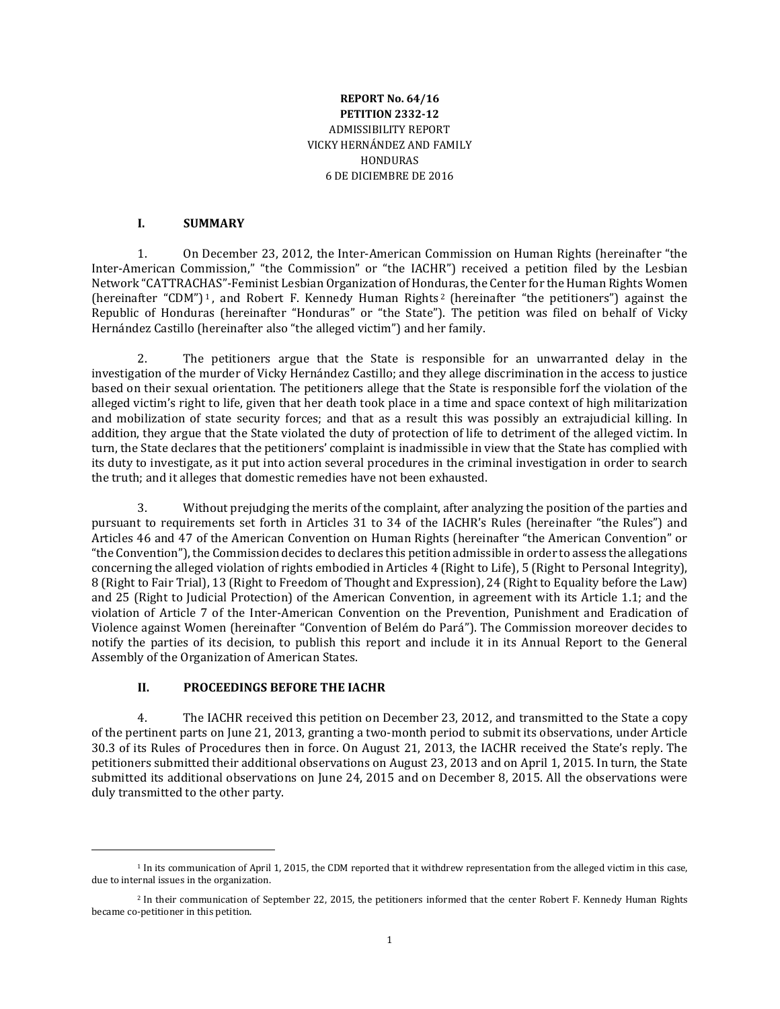### **REPORT No. 64/16 PETITION 2332-12** ADMISSIBILITY REPORT VICKY HERNÁNDEZ AND FAMILY **HONDURAS** 6 DE DICIEMBRE DE 2016

#### **I. SUMMARY**

1. On December 23, 2012, the Inter-American Commission on Human Rights (hereinafter "the Inter-American Commission," "the Commission" or "the IACHR") received a petition filed by the Lesbian Network "CATTRACHAS"-Feminist Lesbian Organization of Honduras, the Center for the Human Rights Women (hereinafter "CDM") <sup>1</sup> , and Robert F. Kennedy Human Rights <sup>2</sup> (hereinafter "the petitioners") against the Republic of Honduras (hereinafter "Honduras" or "the State"). The petition was filed on behalf of Vicky Hernández Castillo (hereinafter also "the alleged victim") and her family.

2. The petitioners argue that the State is responsible for an unwarranted delay in the investigation of the murder of Vicky Hernández Castillo; and they allege discrimination in the access to justice based on their sexual orientation. The petitioners allege that the State is responsible forf the violation of the alleged victim's right to life, given that her death took place in a time and space context of high militarization and mobilization of state security forces; and that as a result this was possibly an extrajudicial killing. In addition, they argue that the State violated the duty of protection of life to detriment of the alleged victim. In turn, the State declares that the petitioners' complaint is inadmissible in view that the State has complied with its duty to investigate, as it put into action several procedures in the criminal investigation in order to search the truth; and it alleges that domestic remedies have not been exhausted.

3. Without prejudging the merits of the complaint, after analyzing the position of the parties and pursuant to requirements set forth in Articles 31 to 34 of the IACHR's Rules (hereinafter "the Rules") and Articles 46 and 47 of the American Convention on Human Rights (hereinafter "the American Convention" or "the Convention"), the Commission decides to declares this petition admissible in order to assess the allegations concerning the alleged violation of rights embodied in Articles 4 (Right to Life), 5 (Right to Personal Integrity), 8 (Right to Fair Trial), 13 (Right to Freedom of Thought and Expression), 24 (Right to Equality before the Law) and 25 (Right to Judicial Protection) of the American Convention, in agreement with its Article 1.1; and the violation of Article 7 of the Inter-American Convention on the Prevention, Punishment and Eradication of Violence against Women (hereinafter "Convention of Belém do Pará"). The Commission moreover decides to notify the parties of its decision, to publish this report and include it in its Annual Report to the General Assembly of the Organization of American States.

### **II. PROCEEDINGS BEFORE THE IACHR**

 $\overline{\phantom{a}}$ 

4. The IACHR received this petition on December 23, 2012, and transmitted to the State a copy of the pertinent parts on June 21, 2013, granting a two-month period to submit its observations, under Article 30.3 of its Rules of Procedures then in force. On August 21, 2013, the IACHR received the State's reply. The petitioners submitted their additional observations on August 23, 2013 and on April 1, 2015. In turn, the State submitted its additional observations on June 24, 2015 and on December 8, 2015. All the observations were duly transmitted to the other party.

<sup>&</sup>lt;sup>1</sup> In its communication of April 1, 2015, the CDM reported that it withdrew representation from the alleged victim in this case, due to internal issues in the organization.

<sup>2</sup> In their communication of September 22, 2015, the petitioners informed that the center Robert F. Kennedy Human Rights became co-petitioner in this petition.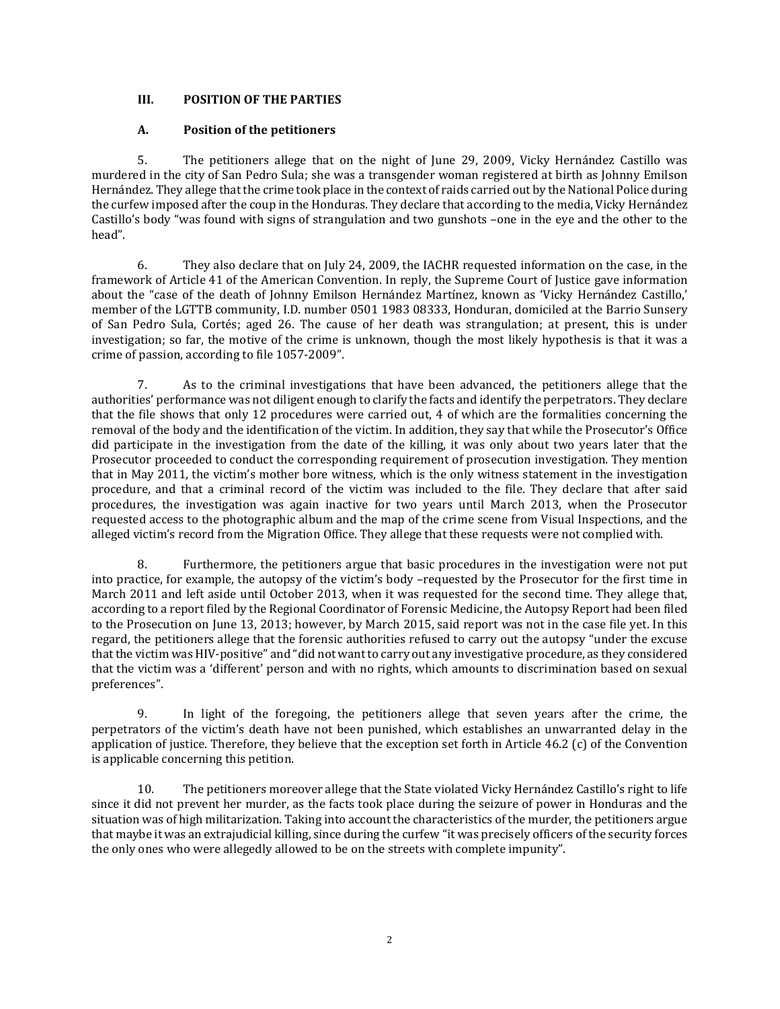# **III. POSITION OF THE PARTIES**

### **A. Position of the petitioners**

5. The petitioners allege that on the night of June 29, 2009, Vicky Hernández Castillo was murdered in the city of San Pedro Sula; she was a transgender woman registered at birth as Johnny Emilson Hernández. They allege that the crime took place in the context of raids carried out by the National Police during the curfew imposed after the coup in the Honduras. They declare that according to the media, Vicky Hernández Castillo's body "was found with signs of strangulation and two gunshots –one in the eye and the other to the head".

6. They also declare that on July 24, 2009, the IACHR requested information on the case, in the framework of Article 41 of the American Convention. In reply, the Supreme Court of Justice gave information about the "case of the death of Johnny Emilson Hernández Martínez, known as 'Vicky Hernández Castillo,' member of the LGTTB community, I.D. number 0501 1983 08333, Honduran, domiciled at the Barrio Sunsery of San Pedro Sula, Cortés; aged 26. The cause of her death was strangulation; at present, this is under investigation; so far, the motive of the crime is unknown, though the most likely hypothesis is that it was a crime of passion, according to file 1057-2009".

7. As to the criminal investigations that have been advanced, the petitioners allege that the authorities' performance was not diligent enough to clarify the facts and identify the perpetrators. They declare that the file shows that only 12 procedures were carried out, 4 of which are the formalities concerning the removal of the body and the identification of the victim. In addition, they say that while the Prosecutor's Office did participate in the investigation from the date of the killing, it was only about two years later that the Prosecutor proceeded to conduct the corresponding requirement of prosecution investigation. They mention that in May 2011, the victim's mother bore witness, which is the only witness statement in the investigation procedure, and that a criminal record of the victim was included to the file. They declare that after said procedures, the investigation was again inactive for two years until March 2013, when the Prosecutor requested access to the photographic album and the map of the crime scene from Visual Inspections, and the alleged victim's record from the Migration Office. They allege that these requests were not complied with.

8. Furthermore, the petitioners argue that basic procedures in the investigation were not put into practice, for example, the autopsy of the victim's body –requested by the Prosecutor for the first time in March 2011 and left aside until October 2013, when it was requested for the second time. They allege that, according to a report filed by the Regional Coordinator of Forensic Medicine, the Autopsy Report had been filed to the Prosecution on June 13, 2013; however, by March 2015, said report was not in the case file yet. In this regard, the petitioners allege that the forensic authorities refused to carry out the autopsy "under the excuse thatthe victim was HIV-positive" and "did not want to carry out any investigative procedure, as they considered that the victim was a 'different' person and with no rights, which amounts to discrimination based on sexual preferences".

9. In light of the foregoing, the petitioners allege that seven years after the crime, the perpetrators of the victim's death have not been punished, which establishes an unwarranted delay in the application of justice. Therefore, they believe that the exception set forth in Article 46.2 (c) of the Convention is applicable concerning this petition.

10. The petitioners moreover allege that the State violated Vicky Hernández Castillo's right to life since it did not prevent her murder, as the facts took place during the seizure of power in Honduras and the situation was of high militarization. Taking into account the characteristics of the murder, the petitioners argue that maybe it was an extrajudicial killing, since during the curfew "it was precisely officers of the security forces the only ones who were allegedly allowed to be on the streets with complete impunity".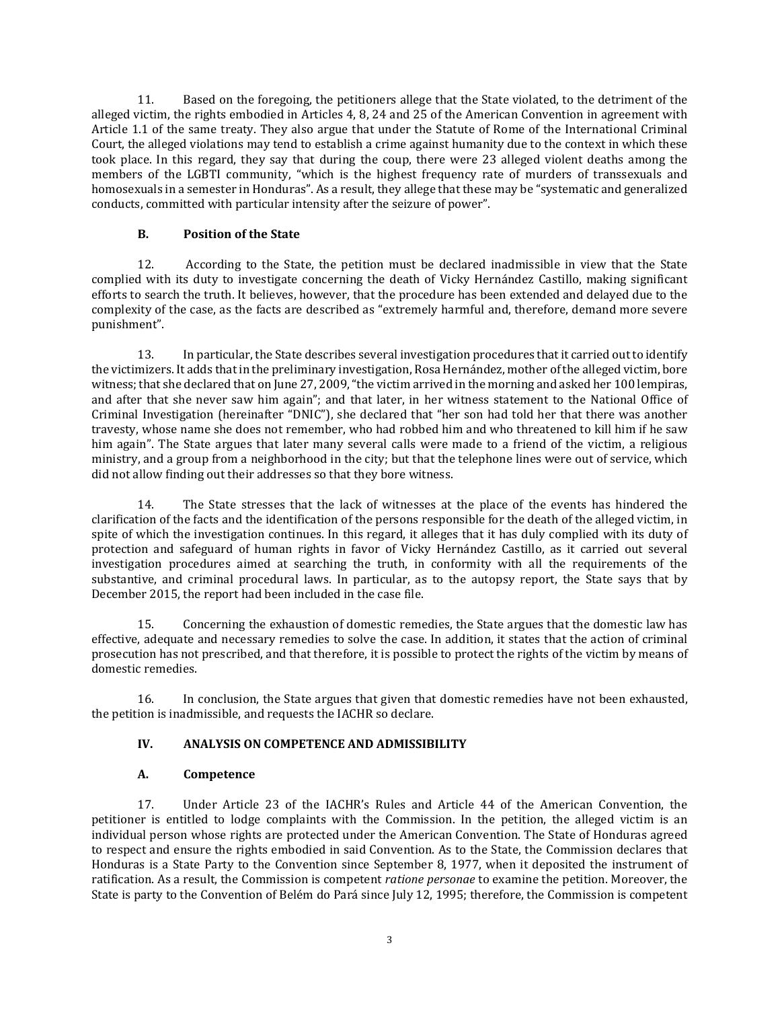11. Based on the foregoing, the petitioners allege that the State violated, to the detriment of the alleged victim, the rights embodied in Articles 4, 8, 24 and 25 of the American Convention in agreement with Article 1.1 of the same treaty. They also argue that under the Statute of Rome of the International Criminal Court, the alleged violations may tend to establish a crime against humanity due to the context in which these took place. In this regard, they say that during the coup, there were 23 alleged violent deaths among the members of the LGBTI community, "which is the highest frequency rate of murders of transsexuals and homosexuals in a semester in Honduras". As a result, they allege that these may be "systematic and generalized conducts, committed with particular intensity after the seizure of power".

## **B. Position of the State**

12. According to the State, the petition must be declared inadmissible in view that the State complied with its duty to investigate concerning the death of Vicky Hernández Castillo, making significant efforts to search the truth. It believes, however, that the procedure has been extended and delayed due to the complexity of the case, as the facts are described as "extremely harmful and, therefore, demand more severe punishment".

13. In particular, the State describes several investigation procedures thatit carried out to identify the victimizers. It adds that in the preliminary investigation, Rosa Hernández, mother of the alleged victim, bore witness; that she declared that on June 27, 2009, "the victim arrived in the morning and asked her 100 lempiras, and after that she never saw him again"; and that later, in her witness statement to the National Office of Criminal Investigation (hereinafter "DNIC"), she declared that "her son had told her that there was another travesty, whose name she does not remember, who had robbed him and who threatened to kill him if he saw him again". The State argues that later many several calls were made to a friend of the victim, a religious ministry, and a group from a neighborhood in the city; but that the telephone lines were out of service, which did not allow finding out their addresses so that they bore witness.

14. The State stresses that the lack of witnesses at the place of the events has hindered the clarification of the facts and the identification of the persons responsible for the death of the alleged victim, in spite of which the investigation continues. In this regard, it alleges that it has duly complied with its duty of protection and safeguard of human rights in favor of Vicky Hernández Castillo, as it carried out several investigation procedures aimed at searching the truth, in conformity with all the requirements of the substantive, and criminal procedural laws. In particular, as to the autopsy report, the State says that by December 2015, the report had been included in the case file.

15. Concerning the exhaustion of domestic remedies, the State argues that the domestic law has effective, adequate and necessary remedies to solve the case. In addition, it states that the action of criminal prosecution has not prescribed, and that therefore, it is possible to protect the rights of the victim by means of domestic remedies.

16. In conclusion, the State argues that given that domestic remedies have not been exhausted, the petition is inadmissible, and requests the IACHR so declare.

### **IV. ANALYSIS ON COMPETENCE AND ADMISSIBILITY**

# **A. Competence**

17. Under Article 23 of the IACHR's Rules and Article 44 of the American Convention, the petitioner is entitled to lodge complaints with the Commission. In the petition, the alleged victim is an individual person whose rights are protected under the American Convention. The State of Honduras agreed to respect and ensure the rights embodied in said Convention. As to the State, the Commission declares that Honduras is a State Party to the Convention since September 8, 1977, when it deposited the instrument of ratification. As a result, the Commission is competent *ratione personae* to examine the petition. Moreover, the State is party to the Convention of Belém do Pará since July 12, 1995; therefore, the Commission is competent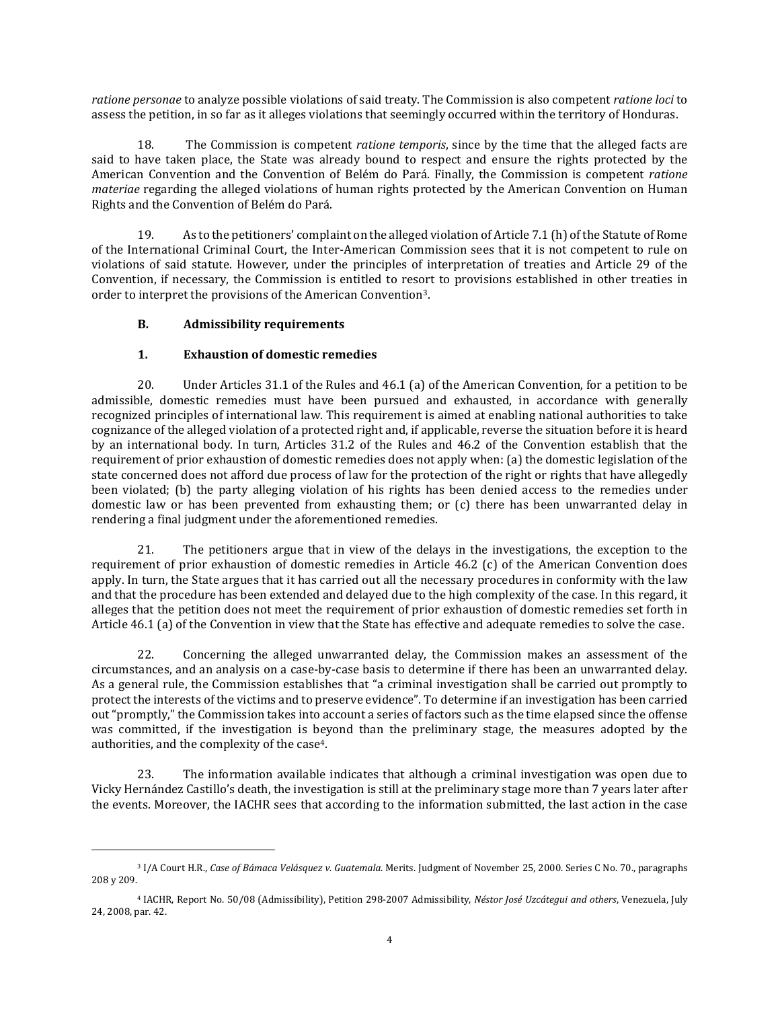*ratione personae* to analyze possible violations of said treaty. The Commission is also competent *ratione loci* to assess the petition, in so far as it alleges violations that seemingly occurred within the territory of Honduras.

18. The Commission is competent *ratione temporis*, since by the time that the alleged facts are said to have taken place, the State was already bound to respect and ensure the rights protected by the American Convention and the Convention of Belém do Pará. Finally, the Commission is competent *ratione materiae* regarding the alleged violations of human rights protected by the American Convention on Human Rights and the Convention of Belém do Pará.

19. As to the petitioners' complaint on the alleged violation of Article 7.1 (h) of the Statute of Rome of the International Criminal Court, the Inter-American Commission sees that it is not competent to rule on violations of said statute. However, under the principles of interpretation of treaties and Article 29 of the Convention, if necessary, the Commission is entitled to resort to provisions established in other treaties in order to interpret the provisions of the American Convention3.

### **B. Admissibility requirements**

 $\overline{\phantom{a}}$ 

### **1. Exhaustion of domestic remedies**

20. Under Articles 31.1 of the Rules and 46.1 (a) of the American Convention, for a petition to be admissible, domestic remedies must have been pursued and exhausted, in accordance with generally recognized principles of international law. This requirement is aimed at enabling national authorities to take cognizance of the alleged violation of a protected right and, if applicable, reverse the situation before it is heard by an international body. In turn, Articles 31.2 of the Rules and 46.2 of the Convention establish that the requirement of prior exhaustion of domestic remedies does not apply when: (a) the domestic legislation of the state concerned does not afford due process of law for the protection of the right or rights that have allegedly been violated; (b) the party alleging violation of his rights has been denied access to the remedies under domestic law or has been prevented from exhausting them; or (c) there has been unwarranted delay in rendering a final judgment under the aforementioned remedies.

21. The petitioners argue that in view of the delays in the investigations, the exception to the requirement of prior exhaustion of domestic remedies in Article 46.2 (c) of the American Convention does apply. In turn, the State argues that it has carried out all the necessary procedures in conformity with the law and that the procedure has been extended and delayed due to the high complexity of the case. In this regard, it alleges that the petition does not meet the requirement of prior exhaustion of domestic remedies set forth in Article 46.1 (a) of the Convention in view that the State has effective and adequate remedies to solve the case.

22. Concerning the alleged unwarranted delay, the Commission makes an assessment of the circumstances, and an analysis on a case-by-case basis to determine if there has been an unwarranted delay. As a general rule, the Commission establishes that "a criminal investigation shall be carried out promptly to protect the interests of the victims and to preserve evidence". To determine if an investigation has been carried out "promptly," the Commission takes into account a series of factors such as the time elapsed since the offense was committed, if the investigation is beyond than the preliminary stage, the measures adopted by the authorities, and the complexity of the case4.

23. The information available indicates that although a criminal investigation was open due to Vicky Hernández Castillo's death, the investigation is still at the preliminary stage more than 7 years later after the events. Moreover, the IACHR sees that according to the information submitted, the last action in the case

<sup>3</sup> I/A Court H.R., *Case of Bámaca Velásquez v. Guatemala*. Merits. Judgment of November 25, 2000. Series C No. 70., paragraphs 208 y 209.

<sup>4</sup> IACHR, Report No. 50/08 (Admissibility), Petition 298-2007 Admissibility, *Néstor José Uzcátegui and others*, Venezuela, July 24, 2008, par. 42.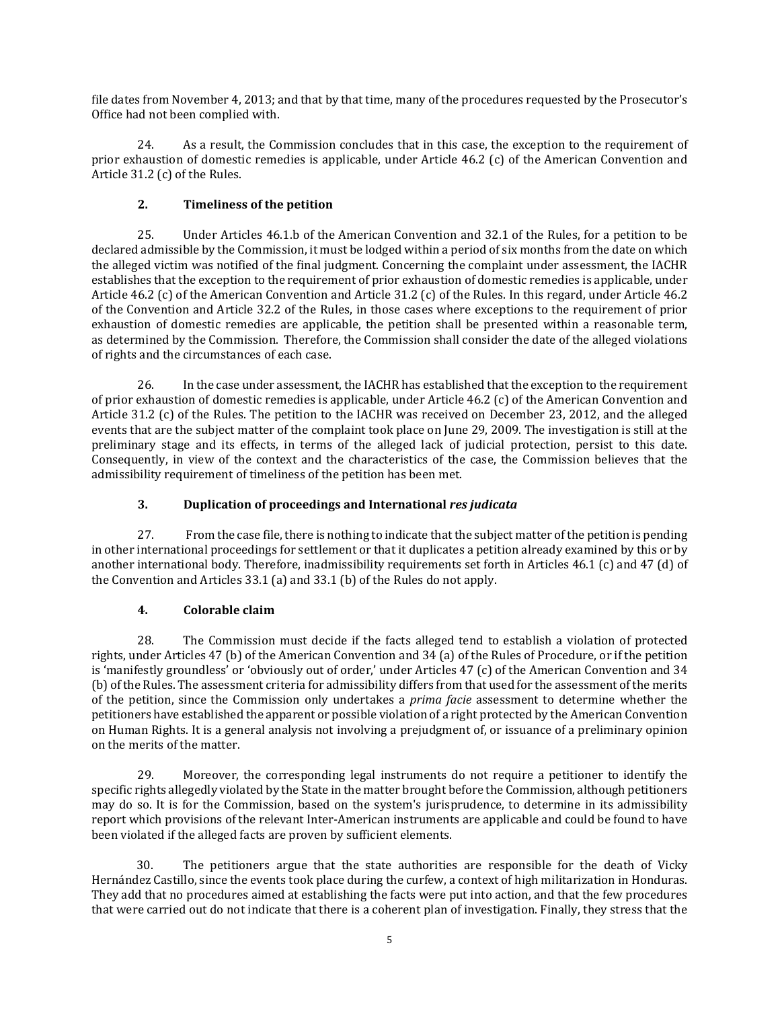file dates from November 4, 2013; and that by that time, many of the procedures requested by the Prosecutor's Office had not been complied with.

24. As a result, the Commission concludes that in this case, the exception to the requirement of prior exhaustion of domestic remedies is applicable, under Article 46.2 (c) of the American Convention and Article 31.2 (c) of the Rules.

# **2. Timeliness of the petition**

25. Under Articles 46.1.b of the American Convention and 32.1 of the Rules, for a petition to be declared admissible by the Commission, it must be lodged within a period of six months from the date on which the alleged victim was notified of the final judgment. Concerning the complaint under assessment, the IACHR establishes that the exception to the requirement of prior exhaustion of domestic remedies is applicable, under Article 46.2 (c) of the American Convention and Article 31.2 (c) of the Rules. In this regard, under Article 46.2 of the Convention and Article 32.2 of the Rules, in those cases where exceptions to the requirement of prior exhaustion of domestic remedies are applicable, the petition shall be presented within a reasonable term, as determined by the Commission. Therefore, the Commission shall consider the date of the alleged violations of rights and the circumstances of each case.

26. In the case under assessment, the IACHR has established that the exception to the requirement of prior exhaustion of domestic remedies is applicable, under Article 46.2 (c) of the American Convention and Article 31.2 (c) of the Rules. The petition to the IACHR was received on December 23, 2012, and the alleged events that are the subject matter of the complaint took place on June 29, 2009. The investigation is still at the preliminary stage and its effects, in terms of the alleged lack of judicial protection, persist to this date. Consequently, in view of the context and the characteristics of the case, the Commission believes that the admissibility requirement of timeliness of the petition has been met.

## **3. Duplication of proceedings and International** *res judicata*

27. From the case file, there is nothing to indicate that the subject matter of the petition is pending in other international proceedings for settlement or that it duplicates a petition already examined by this or by another international body. Therefore, inadmissibility requirements set forth in Articles 46.1 (c) and 47 (d) of the Convention and Articles 33.1 (a) and 33.1 (b) of the Rules do not apply.

# **4. Colorable claim**

28. The Commission must decide if the facts alleged tend to establish a violation of protected rights, under Articles 47 (b) of the American Convention and 34 (a) of the Rules of Procedure, or if the petition is 'manifestly groundless' or 'obviously out of order,' under Articles 47 (c) of the American Convention and 34 (b) of the Rules. The assessment criteria for admissibility differs from that used for the assessment of the merits of the petition, since the Commission only undertakes a *prima facie* assessment to determine whether the petitioners have established the apparent or possible violation of a right protected by the American Convention on Human Rights. It is a general analysis not involving a prejudgment of, or issuance of a preliminary opinion on the merits of the matter.

29. Moreover, the corresponding legal instruments do not require a petitioner to identify the specific rights allegedly violated by the State in the matter brought before the Commission, although petitioners may do so. It is for the Commission, based on the system's jurisprudence, to determine in its admissibility report which provisions of the relevant Inter-American instruments are applicable and could be found to have been violated if the alleged facts are proven by sufficient elements.

30. The petitioners argue that the state authorities are responsible for the death of Vicky Hernández Castillo, since the events took place during the curfew, a context of high militarization in Honduras. They add that no procedures aimed at establishing the facts were put into action, and that the few procedures that were carried out do not indicate that there is a coherent plan of investigation. Finally, they stress that the